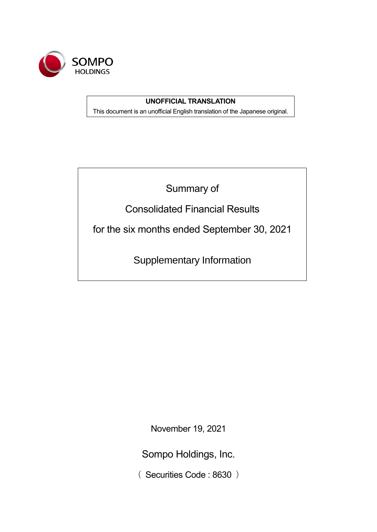

# **UNOFFICIAL TRANSLATION**

This document is an unofficial English translation of the Japanese original.

Summary of

Consolidated Financial Results

for the six months ended September 30, 2021

Supplementary Information

November 19, 2021

Sompo Holdings, Inc.

( Securities Code : 8630 )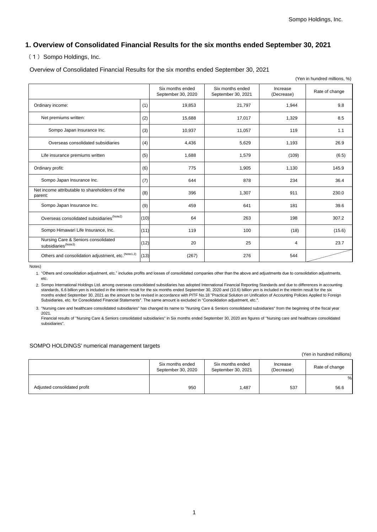# **1. Overview of Consolidated Financial Results for the six months ended September 30, 2021**

### (1) Sompo Holdings, Inc.

Overview of Consolidated Financial Results for the six months ended September 30, 2021

|                                                                        |      |                                        |                                        |                        | (Yen in hundred millions, %) |
|------------------------------------------------------------------------|------|----------------------------------------|----------------------------------------|------------------------|------------------------------|
|                                                                        |      | Six months ended<br>September 30, 2020 | Six months ended<br>September 30, 2021 | Increase<br>(Decrease) | Rate of change               |
| Ordinary income:                                                       | (1)  | 19,853                                 | 21,797                                 | 1,944                  | 9.8                          |
| Net premiums written:                                                  | (2)  | 15,688                                 | 17,017                                 | 1,329                  | 8.5                          |
| Sompo Japan Insurance Inc.                                             | (3)  | 10,937                                 | 11,057                                 | 119                    | 1.1                          |
| Overseas consolidated subsidiaries                                     | (4)  | 4,436                                  | 5,629                                  | 1,193                  | 26.9                         |
| Life insurance premiums written                                        | (5)  | 1,688                                  | 1,579                                  | (109)                  | (6.5)                        |
| Ordinary profit:                                                       | (6)  | 775                                    | 1,905                                  | 1,130                  | 145.9                        |
| Sompo Japan Insurance Inc.                                             | (7)  | 644                                    | 878                                    | 234                    | 36.4                         |
| Net income attributable to shareholders of the<br>parent:              | (8)  | 396                                    | 1,307                                  | 911                    | 230.0                        |
| Sompo Japan Insurance Inc.                                             | (9)  | 459                                    | 641                                    | 181                    | 39.6                         |
| Overseas consolidated subsidiaries <sup>(Note2)</sup>                  | (10) | 64                                     | 263                                    | 198                    | 307.2                        |
| Sompo Himawari Life Insurance, Inc.                                    | (11) | 119                                    | 100                                    | (18)                   | (15.6)                       |
| Nursing Care & Seniors consolidated<br>subsidiaries <sup>(Note3)</sup> | (12) | 20                                     | 25                                     | 4                      | 23.7                         |
| Others and consolidation adjustment, etc. (Note1,2)                    | (13) | (267)                                  | 276                                    | 544                    |                              |

Notes)

1. "Others and consolidation adjustment, etc." includes profits and losses of consolidated companies other than the above and adjustments due to consolidation adjustments, etc.

2. Sompo International Holdings Ltd. among overseas consolidated subsidiaries has adopted International Financial Reporting Standards and due to differences in accounting standards, 6.6 billion yen is included in the interim result for the six months ended September 30, 2020 and (10.6) billion yen is included in the interim result for the six months ended September 30, 2021 as the amount to be revised in accordance with PITF No.18 "Practical Solution on Unification of Accounting Policies Applied to Foreign Subsidiaries, etc. for Consolidated Financial Statements". The same amount is excluded in "Consolidation adjustment, etc.".

3. "Nursing care and healthcare consolidated subsidiaries" has changed its name to "Nursing Care & Seniors consolidated subsidiaries" from the beginning of the fiscal year 2021.

Financial results of "Nursing Care & Seniors consolidated subsidiaries" in Six months ended September 30, 2020 are figures of "Nursing care and healthcare consolidated subsidiaries".

#### SOMPO HOLDINGS' numerical management targets

(Yen in hundred millions)

|                              | Six months ended<br>September 30, 2020 | Six months ended<br>September 30, 2021 | Increase<br>(Decrease) | Rate of change |
|------------------------------|----------------------------------------|----------------------------------------|------------------------|----------------|
|                              |                                        |                                        |                        | %              |
| Adjusted consolidated profit | 950                                    | .487                                   | 537                    | 56.6           |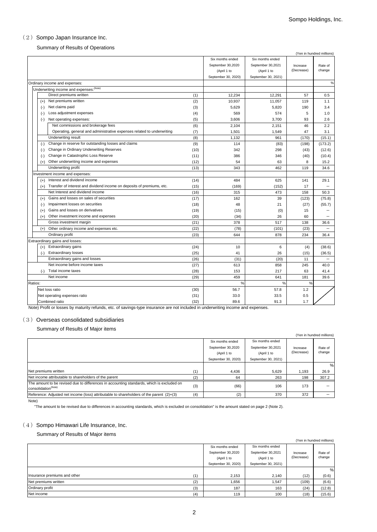### (2) Sompo Japan Insurance Inc.

Summary of Results of Operations

|         |          |                                                                        |      |                     |                     |            | (Yen in hundred millions) |
|---------|----------|------------------------------------------------------------------------|------|---------------------|---------------------|------------|---------------------------|
|         |          |                                                                        |      | Six months ended    | Six months ended    |            |                           |
|         |          |                                                                        |      | September 30,2020   | September 30,2021   | Increase   | Rate of                   |
|         |          |                                                                        |      | (April 1 to         | (April 1 to         | (Decrease) | change                    |
|         |          |                                                                        |      | September 30, 2020) | September 30, 2021) |            |                           |
|         |          | Ordinary income and expenses:                                          |      |                     |                     |            | $\%$                      |
|         |          | Underwriting income and expenses: <sup>(Note)</sup>                    |      |                     |                     |            |                           |
|         |          | Direct premiums written                                                | (1)  | 12,234              | 12,291              | 57         | 0.5                       |
|         |          | (+) Net premiums written                                               | (2)  | 10,937              | 11,057              | 119        | 1.1                       |
|         |          | (-) Net claims paid                                                    | (3)  | 5,629               | 5,820               | 190        | 3.4                       |
|         | $(-)$    | Loss adjustment expenses                                               | (4)  | 569                 | 574                 | 5          | 1.0                       |
|         | $(-)$    | Net operating expenses:                                                | (5)  | 3,606               | 3,700               | 93         | 2.6                       |
|         |          | Net commissions and brokerage fees                                     | (6)  | 2,104               | 2,151               | 46         | 2.2                       |
|         |          | Operating, general and administrative expenses related to underwriting | (7)  | 1,501               | 1,549               | 47         | 3.1                       |
|         |          | Underwriting result                                                    | (8)  | 1,132               | 961                 | (170)      | (15.1)                    |
|         | $(-)$    | Change in reserve for outstanding losses and claims                    | (9)  | 114                 | (83)                | (198)      | (173.2)                   |
|         | $(-)$    | Change in Ordinary Underwriting Reserves                               | (10) | 342                 | 298                 | (43)       | (12.6)                    |
|         | $(-)$    | Change in Catastrophic Loss Reserve                                    | (11) | 386                 | 346                 | (40)       | (10.4)                    |
|         | $(+)$    | Other underwriting income and expenses                                 | (12) | 54                  | 63                  | 8          | 15.2                      |
|         |          | Underwriting profit                                                    | (13) | 343                 | 462                 | 119        | 34.6                      |
|         |          | Investment income and expenses:                                        |      |                     |                     |            |                           |
|         | $(+)$    | Interest and dividend income                                           | (14) | 484                 | 625                 | 141        | 29.1                      |
|         | $(+)$    | Transfer of interest and dividend income on deposits of premiums, etc. | (15) | (169)               | (152)               | 17         |                           |
|         |          | Net Interest and dividend income                                       | (16) | 315                 | 473                 | 158        | 50.3                      |
|         |          | (+) Gains and losses on sales of securities                            | (17) | 162                 | 39                  | (123)      | (75.8)                    |
|         | $(-)$    | Impairment losses on securities                                        | (18) | 48                  | 21                  | (27)       | (55.7)                    |
|         | $(+)$    | Gains and losses on derivatives                                        | (19) | (15)                | (0)                 | 15         |                           |
|         | $^{(+)}$ | Other investment income and expenses                                   | (20) | (34)                | 26                  | 60         |                           |
|         |          | Gross investment margin                                                | (21) | 378                 | 517                 | 138        | 36.6                      |
|         | $(+)$    | Other ordinary income and expenses etc.                                | (22) | (78)                | (101)               | (23)       |                           |
|         |          | Ordinary profit                                                        | (23) | 644                 | 878                 | 234        | 36.4                      |
|         |          | Extraordinary gains and losses:                                        |      |                     |                     |            |                           |
|         |          | (+) Extraordinary gains                                                | (24) | 10                  | 6                   | (4)        | (38.6)                    |
|         | $(-)$    | <b>Extraordinary losses</b>                                            | (25) | 41                  | 26                  | (15)       | (36.5)                    |
|         |          | Extraordinary gains and losses                                         | (26) | (31)                | (20)                | 11         | $\overline{\phantom{0}}$  |
|         |          | Net income before income taxes                                         | (27) | 613                 | 858                 | 245        | 40.0                      |
|         | $(-)$    | Total income taxes                                                     | (28) | 153                 | 217                 | 63         | 41.4                      |
|         |          | Net income                                                             | (29) | 459                 | 641                 | 181        | 39.6                      |
| Ratios: |          |                                                                        |      | %                   | $\%$                | $\%$       |                           |
|         |          | Net loss ratio                                                         | (30) | 56.7                | 57.8                | 1.2        |                           |
|         |          | Net operating expenses ratio                                           | (31) | 33.0                | 33.5                | 0.5        |                           |
|         |          | Combined ratio                                                         | (32) | 89.6                | 91.3                | 1.7        |                           |

Note) Profit or losses by maturity refunds, etc. of savings-type insurance are not included in underwriting income and expenses.

#### (3) Overseas consolidated subsidiaries

Summary of Results of Major items

|                                                                                                                              |     |                     |                     |            | (Yen in hundred millions) |
|------------------------------------------------------------------------------------------------------------------------------|-----|---------------------|---------------------|------------|---------------------------|
|                                                                                                                              |     | Six months ended    | Six months ended    |            |                           |
|                                                                                                                              |     | September 30,2020   | September 30,2021   | Increase   | Rate of                   |
|                                                                                                                              |     | (April 1 to         | (April 1 to         | (Decrease) | change                    |
|                                                                                                                              |     | September 30, 2020) | September 30, 2021) |            |                           |
|                                                                                                                              |     |                     |                     |            | %                         |
| Net premiums written                                                                                                         | (1) | 4,436               | 5.629               | 1,193      | 26.9                      |
| Net income attributable to shareholders of the parent                                                                        | (2) | 64                  | 263                 | 198        | 307.2                     |
| The amount to be revised due to differences in accounting standards, which is excluded on<br>consolidation <sup>(Note)</sup> | (3) | (66)                | 106                 | 173        |                           |
| Reference: Adjusted net income (loss) attributable to shareholders of the parent $(2)+(3)$                                   | (4) | (2)                 | 370                 | 372        |                           |

Note)

"The amount to be revised due to differences in accounting standards, which is excluded on consolidation" is the amount stated on page 2 (Note 2).

### $(4)$  Sompo Himawari Life Insurance, Inc.

Summary of Results of Major items

|                              |     |                     |                     |            | (Yen in hundred millions) |
|------------------------------|-----|---------------------|---------------------|------------|---------------------------|
|                              |     | Six months ended    |                     |            |                           |
|                              |     | September 30,2020   | September 30,2021   | Increase   | Rate of                   |
|                              |     | (April 1 to         | (April 1 to         | (Decrease) | change                    |
|                              |     | September 30, 2020) | September 30, 2021) |            |                           |
|                              |     |                     |                     |            | %                         |
| Insurance premiums and other | (1) | 2,153               | 2,140               | (12)       | (0.6)                     |
| Net premiums written         | (2) | 1.656               | 1.547               | (109)      | (6.6)                     |
| Ordinary profit              | (3) | 187                 | 163                 | (24)       | (12.8)                    |
| Net income                   | (4) | 119                 | 100                 | (18)       | (15.6)                    |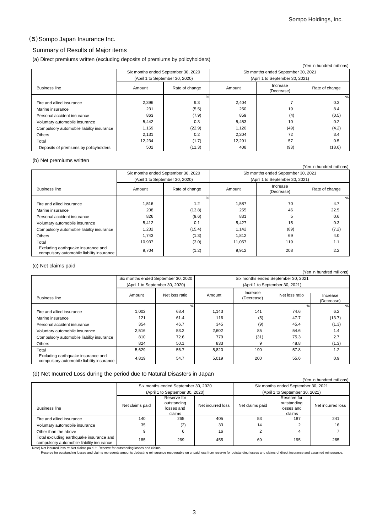### (5)Sompo Japan Insurance Inc.

#### Summary of Results of Major items

(a) Direct premiums written (excluding deposits of premiums by policyholders)

| $\sim$                                    |                                     | . .            |        |                                     | (Yen in hundred millions) |  |
|-------------------------------------------|-------------------------------------|----------------|--------|-------------------------------------|---------------------------|--|
|                                           | Six months ended September 30, 2020 |                |        | Six months ended September 30, 2021 |                           |  |
|                                           | (April 1 to September 30, 2020)     |                |        | (April 1 to September 30, 2021)     |                           |  |
| <b>Business line</b>                      | Amount                              | Rate of change | Amount | Increase<br>(Decrease)              | Rate of change            |  |
|                                           |                                     | $\%$           |        |                                     | %                         |  |
| Fire and allied insurance                 | 2,396                               | 9.3            | 2,404  |                                     | 0.3                       |  |
| Marine insurance                          | 231                                 | (5.5)          | 250    | 19                                  | 8.4                       |  |
| Personal accident insurance               | 863                                 | (7.9)          | 859    | (4)                                 | (0.5)                     |  |
| Voluntary automobile insurance            | 5,442                               | 0.3            | 5,453  | 10                                  | 0.2                       |  |
| Compulsory automobile liability insurance | 1,169                               | (22.9)         | 1,120  | (49)                                | (4.2)                     |  |
| Others                                    | 2,131                               | 0.2            | 2,204  | 72                                  | 3.4                       |  |
| Total                                     | 12,234                              | (1.7)          | 12,291 | 57                                  | 0.5                       |  |
| Deposits of premiums by policyholders     | 502                                 | (11.3)         | 408    | (93)                                | (18.6)                    |  |

#### (b) Net premiums written

| (Yen in hundred millions)                                                       |                                     |                                 |        |                                     |                |  |  |  |  |  |
|---------------------------------------------------------------------------------|-------------------------------------|---------------------------------|--------|-------------------------------------|----------------|--|--|--|--|--|
|                                                                                 | Six months ended September 30, 2020 |                                 |        | Six months ended September 30, 2021 |                |  |  |  |  |  |
|                                                                                 |                                     | (April 1 to September 30, 2020) |        | (April 1 to September 30, 2021)     |                |  |  |  |  |  |
| <b>Business line</b>                                                            | Amount                              | Rate of change                  | Amount | Increase<br>(Decrease)              | Rate of change |  |  |  |  |  |
|                                                                                 |                                     | $\frac{9}{6}$                   |        |                                     | %              |  |  |  |  |  |
| Fire and allied insurance                                                       | 1,516                               | 1.2                             | 1.587  | 70                                  | 4.7            |  |  |  |  |  |
| Marine insurance                                                                | 208                                 | (13.8)                          | 255    | 46                                  | 22.5           |  |  |  |  |  |
| Personal accident insurance                                                     | 826                                 | (9.6)                           | 831    | 5                                   | 0.6            |  |  |  |  |  |
| Voluntary automobile insurance                                                  | 5,412                               | 0.1                             | 5,427  | 15                                  | 0.3            |  |  |  |  |  |
| Compulsory automobile liability insurance                                       | 1,232                               | (15.4)                          | 1.142  | (89)                                | (7.2)          |  |  |  |  |  |
| <b>Others</b>                                                                   | 1.743                               | (1.3)                           | 1,812  | 69                                  | 4.0            |  |  |  |  |  |
| Total                                                                           | 10,937                              | (3.0)                           | 11,057 | 119                                 | 1.1            |  |  |  |  |  |
| Excluding earthquake insurance and<br>compulsory automobile liability insurance | 9,704                               | (1.2)                           | 9,912  | 208                                 | 2.2            |  |  |  |  |  |

#### (c) Net claims paid

| (Yen in hundred millions)                                                       |        |                                     |        |                                                                    |                                 |        |  |  |  |  |
|---------------------------------------------------------------------------------|--------|-------------------------------------|--------|--------------------------------------------------------------------|---------------------------------|--------|--|--|--|--|
|                                                                                 |        | Six months ended September 30, 2020 |        | Six months ended September 30, 2021                                |                                 |        |  |  |  |  |
|                                                                                 |        | (April 1 to September 30, 2020)     |        |                                                                    | (April 1 to September 30, 2021) |        |  |  |  |  |
| <b>Business line</b>                                                            | Amount | Net loss ratio                      | Amount | Increase<br>Net loss ratio<br>Increase<br>(Decrease)<br>(Decrease) |                                 |        |  |  |  |  |
|                                                                                 |        | %                                   |        |                                                                    | $\frac{0}{2}$                   | %      |  |  |  |  |
| Fire and allied insurance                                                       | 1,002  | 68.4                                | 1,143  | 141                                                                | 74.6                            | 6.2    |  |  |  |  |
| Marine insurance                                                                | 121    | 61.4                                | 116    | (5)                                                                | 47.7                            | (13.7) |  |  |  |  |
| Personal accident insurance                                                     | 354    | 46.7                                | 345    | (9)                                                                | 45.4                            | (1.3)  |  |  |  |  |
| Voluntary automobile insurance                                                  | 2,516  | 53.2                                | 2.602  | 85                                                                 | 54.6                            | 1.4    |  |  |  |  |
| Compulsory automobile liability insurance                                       | 810    | 72.6                                | 779    | (31)                                                               | 75.3                            | 2.7    |  |  |  |  |
| <b>Others</b>                                                                   | 824    | 50.1                                | 833    | 9                                                                  | 48.8                            | (1.3)  |  |  |  |  |
| Total                                                                           | 5,629  | 56.7                                | 5,820  | 190                                                                | 57.8                            | 1.2    |  |  |  |  |
| Excluding earthquake insurance and<br>compulsory automobile liability insurance | 4,819  | 54.7                                | 5,019  | 200                                                                | 55.6                            | 0.9    |  |  |  |  |

#### (d) Net Incurred Loss during the period due to Natural Disasters in Japan

|                                                                                           |                 |                                                    |                   |                 |                                                    | (Yen in hundred millions) |  |  |
|-------------------------------------------------------------------------------------------|-----------------|----------------------------------------------------|-------------------|-----------------|----------------------------------------------------|---------------------------|--|--|
|                                                                                           |                 | Six months ended September 30, 2020                |                   |                 | Six months ended September 30, 2021                |                           |  |  |
|                                                                                           |                 | (April 1 to September 30, 2020)                    |                   |                 | (April 1 to September 30, 2021)                    |                           |  |  |
| <b>Business line</b>                                                                      | Net claims paid | Reserve for<br>outstanding<br>losses and<br>claims | Net incurred loss | Net claims paid | Reserve for<br>outstanding<br>losses and<br>claims | Net incurred loss         |  |  |
| Fire and allied insurance                                                                 | 140             | 265                                                | 405               | 53              | 187                                                | 241                       |  |  |
| Voluntary automobile insurance                                                            | 35              | (2)                                                | 33                | 14              |                                                    | 16                        |  |  |
| Other than the above                                                                      | 9               | 6                                                  | 16                | 2               |                                                    |                           |  |  |
| Total excluding earthquake insurance and<br>compulsory automobile liability insurance     | 185             | 269                                                | 455               | 69              | 195                                                | 265                       |  |  |
| Note) Net incurred loss $=$ Net claims paid $+$ Reserve for outstanding losses and claims |                 |                                                    |                   |                 |                                                    |                           |  |  |

Reserve for outstanding losses and claims represents amounts deducting reinsurance recoverable on unpaid loss from reserve for outstanding losses and claims of direct insurance and assumed reinsurance.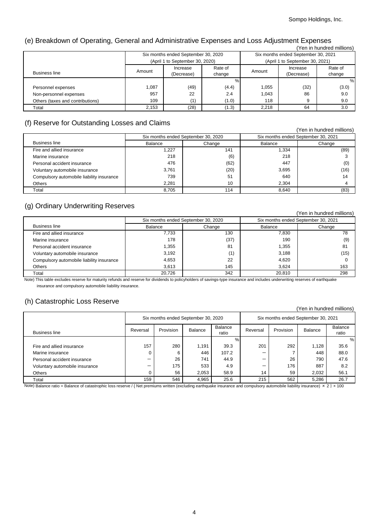# (e) Breakdown of Operating, General and Administrative Expenses and Loss Adjustment Expenses

| (Yen in hundred millions)        |        |                                     |                                     |        |                                 |         |  |  |  |
|----------------------------------|--------|-------------------------------------|-------------------------------------|--------|---------------------------------|---------|--|--|--|
|                                  |        | Six months ended September 30, 2020 | Six months ended September 30, 2021 |        |                                 |         |  |  |  |
|                                  |        | (April 1 to September 30, 2020)     |                                     |        | (April 1 to September 30, 2021) |         |  |  |  |
|                                  | Amount | Increase                            | Rate of                             | Amount | Increase                        | Rate of |  |  |  |
| <b>Business line</b>             |        | (Decrease)                          | change                              |        | (Decrease)                      | change  |  |  |  |
|                                  |        |                                     |                                     |        |                                 | %       |  |  |  |
| Personnel expenses               | 1,087  | (49)                                | (4.4)                               | 1.055  | (32)                            | (3.0)   |  |  |  |
| Non-personnel expenses           | 957    | 22                                  | 2.4                                 | 1.043  | 86                              | 9.0     |  |  |  |
| Others (taxes and contributions) | 109    | (1)                                 | (1.0)                               | 118    | 9                               | 9.0     |  |  |  |
| Total                            | 2,153  | (28)                                | (1.3)                               | 2.218  | 64                              | 3.0     |  |  |  |

# (f) Reserve for Outstanding Losses and Claims

| $\ddot{\phantom{1}}$                      |         |                                     |                                     | (Yen in hundred millions) |  |
|-------------------------------------------|---------|-------------------------------------|-------------------------------------|---------------------------|--|
|                                           |         | Six months ended September 30, 2020 | Six months ended September 30, 2021 |                           |  |
| <b>Business line</b>                      | Balance | Change                              | Balance                             | Change                    |  |
| Fire and allied insurance                 | 1,227   | 141                                 | 1,334                               | (89)                      |  |
| Marine insurance                          | 218     | (6)                                 | 218                                 |                           |  |
| Personal accident insurance               | 476     | (62)                                | 447                                 | (0)                       |  |
| Voluntary automobile insurance            | 3.761   | (20)                                | 3,695                               | (16)                      |  |
| Compulsory automobile liability insurance | 739     | 51                                  | 640                                 | 14                        |  |
| <b>Others</b>                             | 2.281   | 10                                  | 2.304                               |                           |  |
| Total                                     | 8.705   | 114                                 | 8.640                               | (83)                      |  |

# (g) Ordinary Underwriting Reserves

|                                           |                                     |        |                | (Yen in hundred millions)           |
|-------------------------------------------|-------------------------------------|--------|----------------|-------------------------------------|
|                                           | Six months ended September 30, 2020 |        |                | Six months ended September 30, 2021 |
| <b>Business line</b>                      | Balance                             | Change | <b>Balance</b> | Change                              |
| Fire and allied insurance                 | 7,733                               | 130    | 7,830          | 78                                  |
| Marine insurance                          | 178                                 | (37)   | 190            | (9)                                 |
| Personal accident insurance               | 1,355                               | 81     | 1.355          | 81                                  |
| Voluntary automobile insurance            | 3,192                               | (1)    | 3,188          | (15)                                |
| Compulsory automobile liability insurance | 4,653                               | 22     | 4.620          |                                     |
| <b>Others</b>                             | 3.613                               | 145    | 3.624          | 163                                 |
| Total                                     | 20.726                              | 342    | 20.810         | 298                                 |

Note) This table excludes reserve for maturity refunds and reserve for dividends to policyholders of savings-type insurance and includes underwriting reserves of earthquake insurance and compulsory automobile liability insurance.

# (h) Catastrophic Loss Reserve

| $\sim$<br>(Yen in hundred millions) |                                     |           |                |                  |          |                                     |         |                  |
|-------------------------------------|-------------------------------------|-----------|----------------|------------------|----------|-------------------------------------|---------|------------------|
|                                     | Six months ended September 30, 2020 |           |                |                  |          | Six months ended September 30, 2021 |         |                  |
| <b>Business line</b>                | Reversal                            | Provision | <b>Balance</b> | Balance<br>ratio | Reversal | Provision                           | Balance | Balance<br>ratio |
|                                     |                                     |           |                | %                |          |                                     |         | %                |
| Fire and allied insurance           | 157                                 | 280       | 1,191          | 39.3             | 201      | 292                                 | 1.128   | 35.6             |
| Marine insurance                    |                                     | 6         | 446            | 107.2            | -        |                                     | 448     | 88.0             |
| Personal accident insurance         | –                                   | 26        | 741            | 44.9             | –        | 26                                  | 790     | 47.6             |
| Voluntary automobile insurance      | -                                   | 175       | 533            | 4.9              | -        | 176                                 | 887     | 8.2              |
| Others                              |                                     | 56        | 2.053          | 58.9             | 14       | 59                                  | 2.032   | 56.1             |
| Total                               | 159                                 | 546       | 4,965          | 25.6             | 215      | 562                                 | 5,286   | 26.7             |

Note) Balance ratio = Balance of catastrophic loss reserve / { Net premiums written (excluding earthquake insurance and compulsory automobile liability insurance) × 2 } × 100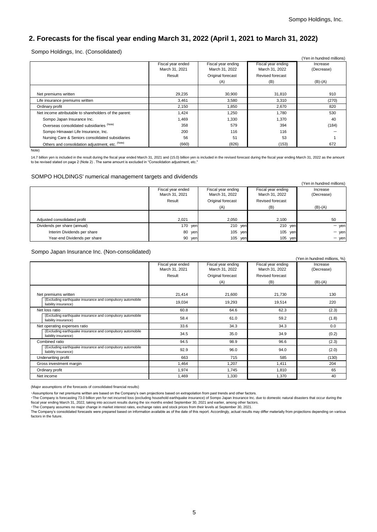# **2. Forecasts for the fiscal year ending March 31, 2022 (April 1, 2021 to March 31, 2022)**

Sompo Holdings, Inc. (Consolidated)

|                                                        |                   |                    |                    | (Yen in hundred millions) |
|--------------------------------------------------------|-------------------|--------------------|--------------------|---------------------------|
|                                                        | Fiscal year ended | Fiscal year ending | Fiscal year ending | Increase                  |
|                                                        | March 31, 2021    | March 31, 2022     | March 31, 2022     | (Decrease)                |
|                                                        | Result            | Original forecast  | Revised forecast   |                           |
|                                                        |                   | (A)                | (B)                | $(B)-(A)$                 |
|                                                        |                   |                    |                    |                           |
| Net premiums written                                   | 29,235            | 30,900             | 31,810             | 910                       |
| Life insurance premiums written                        | 3.461             | 3,580              | 3,310              | (270)                     |
| Ordinary profit                                        | 2,150             | 1,850              | 2,670              | 820                       |
| Net income attributable to shareholders of the parent: | 1.424             | 1,250              | 1.780              | 530                       |
| Sompo Japan Insurance Inc.                             | 1.469             | 1,330              | 1,370              | 40                        |
| Overseas consolidated subsidiaries (Note)              | 358               | 579                | 394                | (184)                     |
| Sompo Himawari Life Insurance, Inc.                    | 200               | 116                | 116                |                           |
| Nursing Care & Seniors consolidated subsidiaries       | 56                | 51                 | 53                 |                           |
| Others and consolidation adjustment, etc. (Note)       | (660)             | (826)              | (153)              | 672                       |

Note)

14.7 billion yen is included in the result during the fiscal year ended March 31, 2021 and (15.0) billion yen is included in the revised forecast during the fiscal year ending March 31, 2022 as the amount to be revised stated on page 2 (Note 2) . The same amount is excluded in "Consolidation adjustment, etc."

#### SOMPO HOLDINGS' numerical management targets and dividends

|                              |                   |                    |                    | (Yen in hundred millions) |
|------------------------------|-------------------|--------------------|--------------------|---------------------------|
|                              | Fiscal year ended | Fiscal year ending | Fiscal year ending | Increase                  |
|                              | March 31, 2021    | March 31, 2022     | March 31, 2022     | (Decrease)                |
|                              | Result            | Original forecast  | Revised forecast   |                           |
|                              |                   | (A)                | (B)                | $(B)-(A)$                 |
|                              |                   |                    |                    |                           |
| Adjusted consolidated profit | 2.021             | 2.050              | 2,100              | 50                        |
| Dividends per share (annual) | 170 yen           | 210 yen            | 210 yen            | $-$ yen                   |
| Interim Dividends per share  | 80 yen            | 105<br>yen         | 105 yen            | $-$ yen                   |
| Year-end Dividends per share | 90<br>yen         | 105<br>yen         | 105 yen            | $-$ yen                   |

Sompo Japan Insurance Inc. (Non-consolidated)

|                                                                                   |                                     |                                      |                                      | (Yen in hundred millions, %) |
|-----------------------------------------------------------------------------------|-------------------------------------|--------------------------------------|--------------------------------------|------------------------------|
|                                                                                   | Fiscal year ended<br>March 31, 2021 | Fiscal year ending<br>March 31, 2022 | Fiscal year ending<br>March 31, 2022 | Increase<br>(Decrease)       |
|                                                                                   | Result                              | Original forecast                    | Revised forecast                     |                              |
|                                                                                   |                                     | (A)                                  | (B)                                  | $(B)-(A)$                    |
|                                                                                   |                                     |                                      |                                      |                              |
| Net premiums written                                                              | 21,414                              | 21,600                               | 21,730                               | 130                          |
| (Excluding earthquake insurance and compulsory automobile<br>liability insurance) | 19,034                              | 19,293                               | 19,514                               | 220                          |
| Net loss ratio                                                                    | 60.8                                | 64.6                                 | 62.3                                 | (2.3)                        |
| (Excluding earthquake insurance and compulsory automobile<br>liability insurance) | 58.4                                | 61.0                                 | 59.2                                 | (1.8)                        |
| Net operating expenses ratio                                                      | 33.6                                | 34.3                                 | 34.3                                 | 0.0                          |
| (Excluding earthquake insurance and compulsory automobile<br>liability insurance) | 34.5                                | 35.0                                 | 34.9                                 | (0.2)                        |
| Combined ratio                                                                    | 94.5                                | 98.9                                 | 96.6                                 | (2.3)                        |
| (Excluding earthquake insurance and compulsory automobile<br>liability insurance) | 92.9                                | 96.0                                 | 94.0                                 | (2.0)                        |
| Underwriting profit                                                               | 663                                 | 715                                  | 585                                  | (130)                        |
| Gross investment margin                                                           | 1,464                               | 1,207                                | 1,411                                | 204                          |
| Ordinary profit                                                                   | 1,974                               | 1,745                                | 1,810                                | 65                           |
| Net income                                                                        | 1.469                               | 1.330                                | 1,370                                | 40                           |

(Major assumptions of the forecasts of consolidated financial results)

・Assumptions for net premiums written are based on the Company's own projections based on extrapolation from past trends and other factors.

•The Company is forecasting 73.0 billion yen for net incurred loss (excluding household earthquake insurance) of Sompo Japan Insurance Inc. due to domestic natural disasters that occur during the<br>fiscal year ending March 3

factors in the future.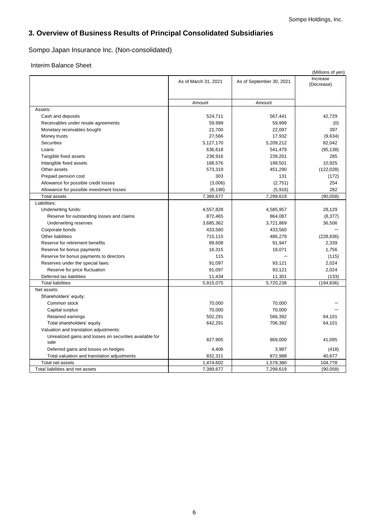# **3. Overview of Business Results of Principal Consolidated Subsidiaries**

# Sompo Japan Insurance Inc. (Non-consolidated)

### Interim Balance Sheet

|                                                         |                      |                          | (Millions of yen)      |
|---------------------------------------------------------|----------------------|--------------------------|------------------------|
|                                                         | As of March 31, 2021 | As of September 30, 2021 | Increase<br>(Decrease) |
|                                                         |                      |                          |                        |
|                                                         | Amount               | Amount                   |                        |
| Assets:                                                 |                      |                          |                        |
| Cash and deposits                                       | 524,711              | 567,441                  | 42,729                 |
| Receivables under resale agreements                     | 59,999               | 59,999                   | (0)                    |
| Monetary receivables bought                             | 21,700               | 22,097                   | 397                    |
| Money trusts                                            | 27,566               | 17,932                   | (9,634)                |
| <b>Securities</b>                                       | 5,127,170            | 5,209,212                | 82,042                 |
| Loans                                                   | 636,618              | 541,479                  | (95, 138)              |
| Tangible fixed assets                                   | 238,916              | 239,201                  | 285                    |
| Intangible fixed assets                                 | 188,576              | 199,501                  | 10,925                 |
| Other assets                                            | 573,319              | 451,290                  | (122, 028)             |
| Prepaid pension cost                                    | 303                  | 131                      | (172)                  |
| Allowance for possible credit losses                    | (3,006)              | (2,751)                  | 254                    |
| Allowance for possible investment losses                | (6, 198)             | (5,916)                  | 282                    |
| <b>Total assets</b>                                     | 7,389,677            | 7,299,619                | (90,058)               |
| Liabilities:                                            |                      |                          |                        |
| Underwriting funds:                                     | 4,557,828            | 4,585,957                | 28,129                 |
| Reserve for outstanding losses and claims               | 872,465              | 864,087                  | (8,377)                |
| Underwriting reserves                                   | 3,685,362            | 3,721,869                | 36,506                 |
| Corporate bonds                                         | 433,560              | 433,560                  |                        |
| Other liabilities                                       | 715,115              | 486,279                  | (228, 836)             |
| Reserve for retirement benefits                         | 89,608               | 91,947                   | 2,339                  |
| Reserve for bonus payments                              | 16,315               | 18,071                   | 1,756                  |
| Reserve for bonus payments to directors                 | 115                  |                          | (115)                  |
| Reserves under the special laws:                        | 91,097               | 93,121                   | 2,024                  |
| Reserve for price fluctuation                           | 91,097               | 93,121                   | 2,024                  |
| Deferred tax liabilities                                | 11,434               | 11,301                   | (133)                  |
| <b>Total liabilities</b>                                | 5,915,075            | 5,720,238                | (194, 836)             |
| Net assets:                                             |                      |                          |                        |
| Shareholders' equity:                                   |                      |                          |                        |
| Common stock                                            | 70,000               | 70,000                   |                        |
| Capital surplus                                         | 70,000               | 70,000                   |                        |
| Retained earnings                                       | 502,291              | 566,392                  | 64,101                 |
| Total shareholders' equity                              | 642,291              | 706,392                  | 64,101                 |
| Valuation and translation adjustments:                  |                      |                          |                        |
| Unrealized gains and losses on securities available for |                      |                          |                        |
| sale                                                    | 827,905              | 869.000                  | 41,095                 |
| Deferred gains and losses on hedges                     | 4,406                | 3,987                    | (418)                  |
| Total valuation and translation adjustments             | 832,311              | 872,988                  | 40,677                 |
| Total net assets                                        | 1,474,602            | 1,579,380                | 104,778                |
| Total liabilities and net assets                        | 7,389,677            | 7,299,619                | (90, 058)              |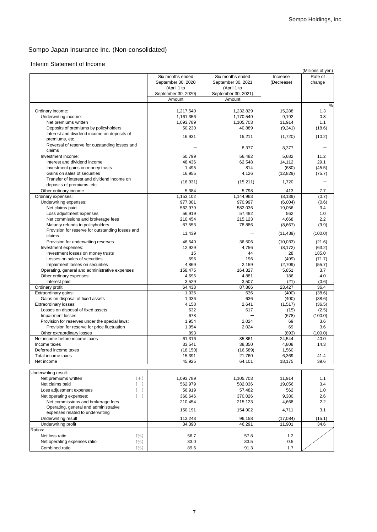# Interim Statement of Income

|                                                  |                     |                     |            | (Millions of yen) |
|--------------------------------------------------|---------------------|---------------------|------------|-------------------|
|                                                  | Six months ended    | Six months ended    | Increase   | Rate of           |
|                                                  | September 30, 2020  | September 30, 2021  | (Decrease) | change            |
|                                                  | (April 1 to         | (April 1 to         |            |                   |
|                                                  | September 30, 2020) | September 30, 2021) |            |                   |
|                                                  | Amount              | Amount              |            |                   |
|                                                  |                     |                     |            | %                 |
|                                                  |                     |                     | 15.288     |                   |
| Ordinary income:                                 | 1,217,540           | 1,232,829           |            | 1.3               |
| Underwriting income:                             | 1,161,356           | 1,170,549           | 9,192      | 0.8               |
| Net premiums written                             | 1,093,789           | 1,105,703           | 11,914     | 1.1               |
| Deposits of premiums by policyholders            | 50,230              | 40,889              | (9, 341)   | (18.6)            |
| Interest and dividend income on deposits of      |                     |                     |            |                   |
| premiums, etc.                                   | 16,931              | 15,211              | (1,720)    | (10.2)            |
| Reversal of reserve for outstanding losses and   |                     |                     |            |                   |
| claims                                           |                     | 8,377               | 8,377      |                   |
|                                                  |                     | 56.482              | 5.682      |                   |
| Investment income:                               | 50,799              |                     |            | 11.2              |
| Interest and dividend income                     | 48,436              | 62,548              | 14,112     | 29.1              |
| Investment gains on money trusts                 | 1,495               | 814                 | (680)      | (45.5)            |
| Gains on sales of securities                     | 16,955              | 4,126               | (12, 829)  | (75.7)            |
| Transfer of interest and dividend income on      |                     |                     |            |                   |
| deposits of premiums, etc.                       | (16, 931)           | (15, 211)           | 1,720      |                   |
| Other ordinary income                            | 5,384               | 5,798               | 413        | 7.7               |
| Ordinary expenses:                               | 1,153,102           | 1,144,963           | (8, 139)   | (0.7)             |
|                                                  |                     |                     |            |                   |
| Underwriting expenses:                           | 977,001             | 970,997             | (6,004)    | (0.6)             |
| Net claims paid                                  | 562,979             | 582,036             | 19,056     | 3.4               |
| Loss adjustment expenses                         | 56,919              | 57,482              | 562        | 1.0               |
| Net commissions and brokerage fees               | 210,454             | 215,123             | 4,668      | 2.2               |
| Maturity refunds to policyholders                | 87,553              | 78,886              | (8,667)    | (9.9)             |
| Provision for reserve for outstanding losses and |                     |                     |            |                   |
| claims                                           | 11,439              |                     | (11, 439)  | (100.0)           |
|                                                  |                     | 36.506              |            |                   |
| Provision for underwriting reserves              | 46,540              |                     | (10,033)   | (21.6)            |
| Investment expenses:                             | 12,929              | 4,756               | (8, 172)   | (63.2)            |
| Investment losses on money trusts                | 15                  | 44                  | 28         | 185.0             |
| Losses on sales of securities                    | 696                 | 196                 | (499)      | (71.7)            |
| Impairment losses on securities                  | 4,869               | 2,159               | (2,709)    | (55.7)            |
| Operating, general and administrative expenses   | 158,475             | 164,327             | 5,851      | 3.7               |
| Other ordinary expenses:                         | 4,695               | 4,881               | 186        | 4.0               |
|                                                  | 3,529               | 3,507               | (21)       | (0.6)             |
| Interest paid                                    |                     |                     |            |                   |
| Ordinary profit                                  | 64,438              | 87,866              | 23,427     | 36.4              |
| Extraordinary gains:                             | 1,036               | 636                 | (400)      | (38.6)            |
| Gains on disposal of fixed assets                | 1,036               | 636                 | (400)      | (38.6)            |
| Extraordinary losses:                            | 4,158               | 2,641               | (1, 517)   | (36.5)            |
| Losses on disposal of fixed assets               | 632                 | 617                 | (15)       | (2.5)             |
| <b>Impairment losses</b>                         | 678                 |                     | (678)      | (100.0)           |
| Provision for reserves under the special laws:   | 1,954               | 2,024               | 69         | 3.6               |
|                                                  |                     |                     |            |                   |
| Provision for reserve for price fluctuation      | 1,954               | 2,024               | 69         | 3.6               |
| Other extraordinary losses                       | 893                 |                     | (893)      | (100.0)           |
| Net income before income taxes                   | 61,316              | 85,861              | 24,544     | 40.0              |
| Income taxes                                     | 33,541              | 38,350              | 4,808      | 14.3              |
| Deferred income taxes                            | (18, 150)           | (16, 589)           | 1,560      |                   |
| Total income taxes                               | 15,391              | 21,760              | 6,369      | 41.4              |
| Net income                                       | 45,925              | 64,101              | 18,175     | 39.6              |
|                                                  |                     |                     |            |                   |
|                                                  |                     |                     |            |                   |
| Underwriting result:                             |                     |                     |            |                   |
| $(+)$<br>Net premiums written                    | 1,093,789           | 1,105,703           | 11,914     | 1.1               |
| $(-)$<br>Net claims paid                         | 562,979             | 582,036             | 19,056     | 3.4               |
| $(-)$<br>Loss adjustment expenses                | 56,919              | 57,482              | 562        | 1.0               |
| $(-)$<br>Net operating expenses:                 | 360,646             | 370,026             | 9,380      | 2.6               |
| Net commissions and brokerage fees               | 210,454             | 215,123             | 4,668      | 2.2               |
| Operating, general and administrative            |                     |                     |            |                   |
| expenses related to underwriting                 | 150,191             | 154,902             | 4,711      | 3.1               |
|                                                  |                     |                     |            |                   |
| Underwriting result                              | 113,243             | 96,158              | (17,084)   | (15.1)            |
| Underwriting profit                              | 34,390              | 46,291              | 11,901     | 34.6              |
| Ratios:                                          |                     |                     |            |                   |
| (9/0)<br>Net loss ratio                          | 56.7                | 57.8                | $1.2$      |                   |
| $($ %)<br>Net operating expenses ratio           | 33.0                | 33.5                | 0.5        |                   |
| (9/0)<br>Combined ratio                          | 89.6                | 91.3                | 1.7        |                   |
|                                                  |                     |                     |            |                   |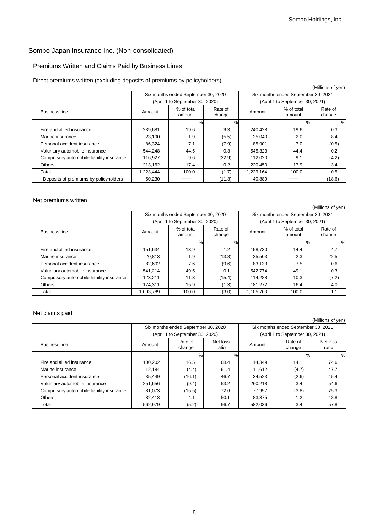# Premiums Written and Claims Paid by Business Lines

### Direct premiums written (excluding deposits of premiums by policyholders)

|                                           |           |                                     |                   |           |                                     | (Millions of yen) |
|-------------------------------------------|-----------|-------------------------------------|-------------------|-----------|-------------------------------------|-------------------|
|                                           |           | Six months ended September 30, 2020 |                   |           | Six months ended September 30, 2021 |                   |
|                                           |           | (April 1 to September 30, 2020)     |                   |           | (April 1 to September 30, 2021)     |                   |
| <b>Business line</b>                      | Amount    | % of total<br>amount                | Rate of<br>change | Amount    | % of total<br>amount                | Rate of<br>change |
|                                           |           | %                                   | $\%$              |           | $\%$                                | %                 |
| Fire and allied insurance                 | 239.681   | 19.6                                | 9.3               | 240.428   | 19.6                                | 0.3               |
| Marine insurance                          | 23,100    | 1.9                                 | (5.5)             | 25,040    | 2.0                                 | 8.4               |
| Personal accident insurance               | 86.324    | 7.1                                 | (7.9)             | 85.901    | 7.0                                 | (0.5)             |
| Voluntary automobile insurance            | 544.248   | 44.5                                | 0.3               | 545,323   | 44.4                                | 0.2               |
| Compulsory automobile liability insurance | 116.927   | 9.6                                 | (22.9)            | 112,020   | 9.1                                 | (4.2)             |
| Others                                    | 213,162   | 17.4                                | 0.2               | 220,450   | 17.9                                | 3.4               |
| Total                                     | 1,223,444 | 100.0                               | (1.7)             | 1,229,164 | 100.0                               | 0.5               |
| Deposits of premiums by policyholders     | 50,230    |                                     | (11.3)            | 40,889    |                                     | (18.6)            |

#### Net premiums written

|                                           |           |                                     |                   |                                     |                                 | (Millions of yen) |
|-------------------------------------------|-----------|-------------------------------------|-------------------|-------------------------------------|---------------------------------|-------------------|
|                                           |           | Six months ended September 30, 2020 |                   | Six months ended September 30, 2021 |                                 |                   |
|                                           |           | (April 1 to September 30, 2020)     |                   |                                     | (April 1 to September 30, 2021) |                   |
| <b>Business line</b>                      | Amount    | % of total<br>amount                | Rate of<br>change | Amount                              | % of total<br>amount            | Rate of<br>change |
|                                           |           | %                                   | $\%$              |                                     | %                               | $\%$              |
| Fire and allied insurance                 | 151.634   | 13.9                                | 1.2               | 158.730                             | 14.4                            | 4.7               |
| Marine insurance                          | 20.813    | 1.9                                 | (13.8)            | 25.503                              | 2.3                             | 22.5              |
| Personal accident insurance               | 82.602    | 7.6                                 | (9.6)             | 83.133                              | 7.5                             | 0.6               |
| Voluntary automobile insurance            | 541.214   | 49.5                                | 0.1               | 542,774                             | 49.1                            | 0.3               |
| Compulsory automobile liability insurance | 123.211   | 11.3                                | (15.4)            | 114.288                             | 10.3                            | (7.2)             |
| Others                                    | 174,311   | 15.9                                | (1.3)             | 181,272                             | 16.4                            | 4.0               |
| Total                                     | 1,093,789 | 100.0                               | (3.0)             | 1,105,703                           | 100.0                           | 1.1               |

#### Net claims paid

|                                           |         |                                     |                   |         |                                     | (Millions of yen) |  |
|-------------------------------------------|---------|-------------------------------------|-------------------|---------|-------------------------------------|-------------------|--|
|                                           |         | Six months ended September 30, 2020 |                   |         | Six months ended September 30, 2021 |                   |  |
|                                           |         | (April 1 to September 30, 2020)     |                   |         | (April 1 to September 30, 2021)     |                   |  |
| <b>Business line</b>                      | Amount  | Rate of<br>change                   | Net loss<br>ratio | Amount  | Rate of<br>change                   | Net loss<br>ratio |  |
|                                           |         | %                                   | %                 |         | $\%$                                | $\%$              |  |
| Fire and allied insurance                 | 100.202 | 16.5                                | 68.4              | 114.349 | 14.1                                | 74.6              |  |
| Marine insurance                          | 12.184  | (4.4)                               | 61.4              | 11.612  | (4.7)                               | 47.7              |  |
| Personal accident insurance               | 35.449  | (16.1)                              | 46.7              | 34.523  | (2.6)                               | 45.4              |  |
| Voluntary automobile insurance            | 251,656 | (9.4)                               | 53.2              | 260.218 | 3.4                                 | 54.6              |  |
| Compulsory automobile liability insurance | 81.073  | (15.5)                              | 72.6              | 77,957  | (3.8)                               | 75.3              |  |
| <b>Others</b>                             | 82.413  | 4.1                                 | 50.1              | 83,375  | 1.2                                 | 48.8              |  |
| Total                                     | 562,979 | (5.2)                               | 56.7              | 582,036 | 3.4                                 | 57.8              |  |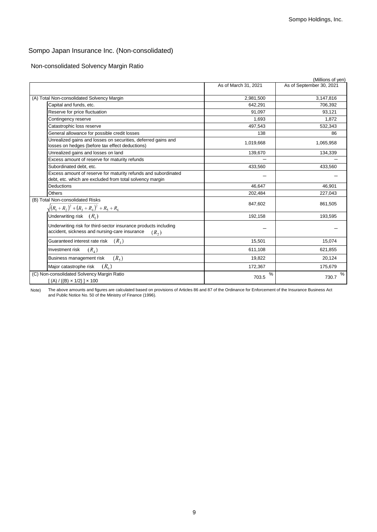Non-consolidated Solvency Margin Ratio

|                                                                                                                                       |                      | (Millions of yen)        |
|---------------------------------------------------------------------------------------------------------------------------------------|----------------------|--------------------------|
|                                                                                                                                       | As of March 31, 2021 | As of September 30, 2021 |
| (A) Total Non-consolidated Solvency Margin                                                                                            | 2,981,500            | 3,147,816                |
| Capital and funds, etc.                                                                                                               | 642,291              | 706,392                  |
| Reserve for price fluctuation                                                                                                         | 91,097               | 93,121                   |
| Contingency reserve                                                                                                                   | 1,693                | 1,872                    |
| Catastrophic loss reserve                                                                                                             | 497.543              | 532,343                  |
| General allowance for possible credit losses                                                                                          | 138                  | 86                       |
| Unrealized gains and losses on securities, deferred gains and<br>losses on hedges (before tax effect deductions)                      | 1,019,668            | 1,065,958                |
| Jnrealized gains and losses on land                                                                                                   | 139,670              | 134,339                  |
| Excess amount of reserve for maturity refunds                                                                                         |                      |                          |
| Subordinated debt. etc.                                                                                                               | 433,560              | 433,560                  |
| Excess amount of reserve for maturity refunds and subordinated<br>debt, etc. which are excluded from total solvency margin            |                      |                          |
| Deductions                                                                                                                            | 46,647               | 46,901                   |
| Others                                                                                                                                | 202,484              | 227,043                  |
| (B) Total Non-consolidated Risks<br>$\sqrt{(R_1+R_2)^2+(R_3+R_4)^2+R_5+R_6}$                                                          | 847,602              | 861,505                  |
| Underwriting risk $(R1)$                                                                                                              | 192,158              | 193,595                  |
| Underwriting risk for third-sector insurance products including<br>accident, sickness and nursing-care insurance<br>(R <sub>2</sub> ) |                      |                          |
| $(R_{3})$<br>Guaranteed interest rate risk                                                                                            | 15,501               | 15,074                   |
| $(R_{4})$<br>Investment risk                                                                                                          | 611,108              | 621,855                  |
| $(R_{5})$<br>Business management risk                                                                                                 | 19,822               | 20,124                   |
| $(R_{\epsilon})$<br>Major catastrophe risk                                                                                            | 172,367              | 175,679                  |
| (C) Non-consolidated Solvency Margin Ratio<br>$[(A) / {(B) \times 1/2}] \times 100$                                                   | %<br>703.5           | %<br>730.7               |

Note) The above amounts and figures are calculated based on provisions of Articles 86 and 87 of the Ordinance for Enforcement of the Insurance Business Act and Public Notice No. 50 of the Ministry of Finance (1996).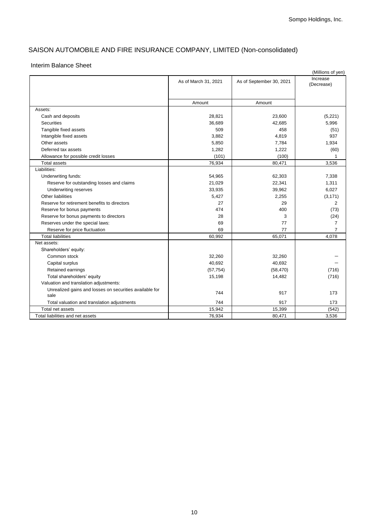# SAISON AUTOMOBILE AND FIRE INSURANCE COMPANY, LIMITED (Non-consolidated)

### Interim Balance Sheet

|                                                                 | As of March 31, 2021 | As of September 30, 2021 | Increase<br>(Decrease) |
|-----------------------------------------------------------------|----------------------|--------------------------|------------------------|
|                                                                 |                      |                          |                        |
|                                                                 | Amount               | Amount                   |                        |
| Assets:                                                         |                      |                          |                        |
| Cash and deposits                                               | 28,821               | 23,600                   | (5,221)                |
| <b>Securities</b>                                               | 36,689               | 42,685                   | 5,996                  |
| Tangible fixed assets                                           | 509                  | 458                      | (51)                   |
| Intangible fixed assets                                         | 3,882                | 4,819                    | 937                    |
| Other assets                                                    | 5,850                | 7,784                    | 1,934                  |
| Deferred tax assets                                             | 1,282                | 1,222                    | (60)                   |
| Allowance for possible credit losses                            | (101)                | (100)                    | 1                      |
| <b>Total assets</b>                                             | 76,934               | 80,471                   | 3,536                  |
| Liabilities:                                                    |                      |                          |                        |
| Underwriting funds:                                             | 54,965               | 62,303                   | 7.338                  |
| Reserve for outstanding losses and claims                       | 21,029               | 22,341                   | 1,311                  |
| Underwriting reserves                                           | 33,935               | 39,962                   | 6,027                  |
| Other liabilities                                               | 5,427                | 2.255                    | (3, 171)               |
| Reserve for retirement benefits to directors                    | 27                   | 29                       | $\overline{2}$         |
| Reserve for bonus payments                                      | 474                  | 400                      | (73)                   |
| Reserve for bonus payments to directors                         | 28                   | 3                        | (24)                   |
| Reserves under the special laws:                                | 69                   | 77                       | $\overline{7}$         |
| Reserve for price fluctuation                                   | 69                   | 77                       | $\overline{7}$         |
| <b>Total liabilities</b>                                        | 60,992               | 65,071                   | 4,078                  |
| Net assets:                                                     |                      |                          |                        |
| Shareholders' equity:                                           |                      |                          |                        |
| Common stock                                                    | 32,260               | 32,260                   |                        |
| Capital surplus                                                 | 40,692               | 40,692                   |                        |
| Retained earnings                                               | (57, 754)            | (58, 470)                | (716)                  |
| Total shareholders' equity                                      | 15,198               | 14,482                   | (716)                  |
| Valuation and translation adjustments:                          |                      |                          |                        |
| Unrealized gains and losses on securities available for<br>sale | 744                  | 917                      | 173                    |
| Total valuation and translation adjustments                     | 744                  | 917                      | 173                    |
| Total net assets                                                | 15,942               | 15,399                   | (542)                  |
| Total liabilities and net assets                                | 76,934               | 80,471                   | 3,536                  |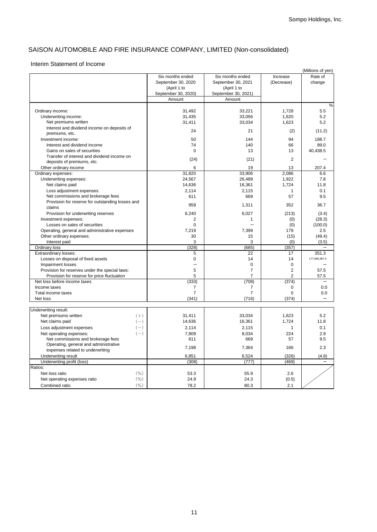# SAISON AUTOMOBILE AND FIRE INSURANCE COMPANY, LIMITED (Non-consolidated)

#### Interim Statement of Income

|                                                  |                     |                     |                | (Millions of yen) |
|--------------------------------------------------|---------------------|---------------------|----------------|-------------------|
|                                                  | Six months ended    | Six months ended    | Increase       | Rate of           |
|                                                  | September 30, 2020  | September 30, 2021  | (Decrease)     | change            |
|                                                  | (April 1 to         | (April 1 to         |                |                   |
|                                                  | September 30, 2020) | September 30, 2021) |                |                   |
|                                                  | Amount              | Amount              |                |                   |
|                                                  |                     |                     |                | %                 |
| Ordinary income:                                 | 31,492              | 33,221              | 1,728          | 5.5               |
| Underwriting income:                             | 31,435              | 33,056              | 1,620          | 5.2               |
| Net premiums written                             | 31,411              | 33,034              | 1,623          | 5.2               |
| Interest and dividend income on deposits of      |                     |                     |                |                   |
| premiums, etc.                                   | 24                  | 21                  | (2)            | (11.2)            |
| Investment income:                               | 50                  | 144                 | 94             | 188.7             |
| Interest and dividend income                     | 74                  | 140                 | 66             | 89.0              |
| Gains on sales of securities                     | $\mathbf 0$         | 13                  | 13             | 40,438.5          |
| Transfer of interest and dividend income on      |                     |                     |                |                   |
| deposits of premiums, etc.                       | (24)                | (21)                | $\overline{2}$ |                   |
| Other ordinary income                            | 6                   | 19                  | 13             | 207.4             |
| Ordinary expenses:                               | 31,820              | 33,906              | 2,086          | 6.6               |
| Underwriting expenses:                           | 24,567              | 26,489              | 1,922          | 7.8               |
| Net claims paid                                  | 14,636              | 16,361              | 1,724          | 11.8              |
| Loss adjustment expenses                         | 2,114               | 2,115               | 1              | 0.1               |
| Net commissions and brokerage fees               | 611                 | 669                 | 57             | 9.5               |
| Provision for reserve for outstanding losses and |                     |                     |                | 36.7              |
| claims                                           | 959                 | 1,311               | 352            |                   |
| Provision for underwriting reserves              | 6,240               | 6,027               | (213)          | (3.4)             |
| Investment expenses:                             | 2                   | $\mathbf{1}$        | (0)            | (28.3)            |
| Losses on sales of securities                    | $\Omega$            |                     | (0)            | (100.0)           |
| Operating, general and administrative expenses   | 7,219               | 7,399               | 179            | 2.5               |
| Other ordinary expenses:                         | 30                  | 15                  | (15)           | (49.4)            |
| Interest paid                                    | 3                   | 3                   | (0)            | (3.5)             |
| Ordinary loss                                    | (328)               | (685)               | (357)          |                   |
| <b>Extraordinary losses:</b>                     | 5                   | 22                  | 17             | 351.3             |
| Losses on disposal of fixed assets               | $\mathbf 0$         | 14                  | 14             | 177,995,987.5     |
| Impairment losses                                |                     | $\mathbf 0$         | 0              |                   |
| Provision for reserves under the special laws:   | 5                   | $\overline{7}$      | $\overline{2}$ | 57.5              |
| Provision for reserve for price fluctuation      | 5                   | $\overline{7}$      | $\overline{2}$ | 57.5              |
| Net loss before income taxes                     | (333)               | (708)               | (374)          |                   |
| Income taxes                                     | 7                   | 7                   | 0              | 0.0               |
| Total income taxes                               | $\overline{7}$      | $\overline{7}$      | 0              | 0.0               |
| Net loss                                         | (341)               | (716)               | (374)          |                   |
|                                                  |                     |                     |                |                   |
| Underwriting result:                             |                     |                     |                |                   |
| Net premiums written<br>$(+)$                    | 31,411              | 33,034              | 1,623          | 5.2               |
| Net claims paid<br>$(-)$                         | 14,636              | 16,361              | 1,724          | 11.8              |
| $(-)$<br>Loss adjustment expenses                | 2,114               | 2,115               | 1              | 0.1               |
| $(-)$<br>Net operating expenses:                 | 7,809               | 8,034               | 224            | 2.9               |
| Net commissions and brokerage fees               | 611                 | 669                 | 57             | 9.5               |
| Operating, general and administrative            | 7,198               | 7,364               | 166            | 2.3               |
| expenses related to underwriting                 |                     |                     |                |                   |
| <b>Underwriting result</b>                       | 6,851               | 6,524               | (326)          | (4.8)             |
| Underwriting profit (loss)                       | (308)               | (777)               | (469)          |                   |
| Ratios:                                          |                     |                     |                |                   |
| (9/0)<br>Net loss ratio                          | 53.3                | 55.9                | 2.6            |                   |
| (9/0)<br>Net operating expenses ratio            | 24.9                | 24.3                | (0.5)          |                   |
| $($ % $)$<br>Combined ratio                      | 78.2                | 80.3                | 2.1            |                   |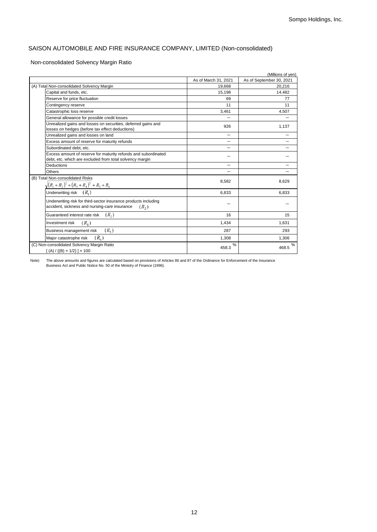# SAISON AUTOMOBILE AND FIRE INSURANCE COMPANY, LIMITED (Non-consolidated)

### Non-consolidated Solvency Margin Ratio

| (Millions of yen)                                                                                                          |                      |                          |  |  |
|----------------------------------------------------------------------------------------------------------------------------|----------------------|--------------------------|--|--|
|                                                                                                                            | As of March 31, 2021 | As of September 30, 2021 |  |  |
| (A) Total Non-consolidated Solvency Margin                                                                                 | 19.668               | 20.216                   |  |  |
| Capital and funds, etc.                                                                                                    | 15,198               | 14.482                   |  |  |
| Reserve for price fluctuation                                                                                              | 69                   | 77                       |  |  |
| Contingency reserve                                                                                                        | 11                   | 11                       |  |  |
| Catastrophic loss reserve                                                                                                  | 3,461                | 4,507                    |  |  |
| General allowance for possible credit losses                                                                               |                      |                          |  |  |
| Unrealized gains and losses on securities, deferred gains and<br>losses on hedges (before tax effect deductions)           | 926                  | 1,137                    |  |  |
| Unrealized gains and losses on land                                                                                        |                      |                          |  |  |
| Excess amount of reserve for maturity refunds                                                                              | -                    |                          |  |  |
| Subordinated debt. etc.                                                                                                    |                      |                          |  |  |
| Excess amount of reserve for maturity refunds and subordinated<br>debt, etc. which are excluded from total solvency margin |                      |                          |  |  |
| <b>Deductions</b>                                                                                                          |                      |                          |  |  |
| Others                                                                                                                     |                      |                          |  |  |
| (B) Total Non-consolidated Risks<br>$\sqrt{(R_1+R_2)^2+(R_3+R_4)^2+R_5+R_6}$                                               | 8,582                | 8,629                    |  |  |
| Underwriting risk $(R_i)$                                                                                                  | 6.833                | 6,833                    |  |  |
| Underwriting risk for third-sector insurance products including<br>accident, sickness and nursing-care insurance<br>(R, )  |                      |                          |  |  |
| Guaranteed interest rate risk<br>$(R_2)$                                                                                   | 16                   | 15                       |  |  |
| $(R_4)$<br>Investment risk                                                                                                 | 1,434                | 1,631                    |  |  |
| $(R_5)$<br>Business management risk                                                                                        | 287                  | 293                      |  |  |
| $(R_{\epsilon})$<br>Major catastrophe risk                                                                                 | 1,308                | 1.306                    |  |  |
| (C) Non-consolidated Solvency Margin Ratio<br>$[(A) / {(B) \times 1/2}] \times 100$                                        | %<br>458.3           | $\frac{9}{6}$<br>468.5   |  |  |

Note) The above amounts and figures are calculated based on provisions of Articles 86 and 87 of the Ordinance for Enforcement of the Insurance Business Act and Public Notice No. 50 of the Ministry of Finance (1996).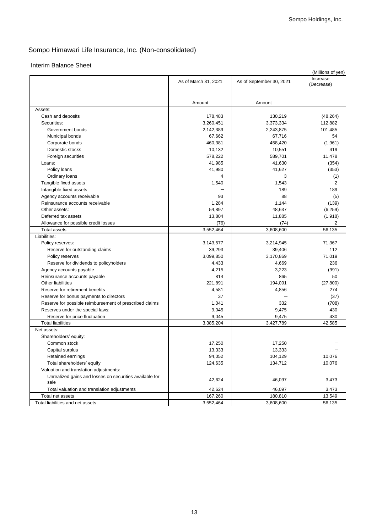### Interim Balance Sheet

|                                                               |                      |                          | (Millions of yen) |
|---------------------------------------------------------------|----------------------|--------------------------|-------------------|
|                                                               | As of March 31, 2021 | As of September 30, 2021 | Increase          |
|                                                               |                      |                          | (Decrease)        |
|                                                               |                      |                          |                   |
|                                                               | Amount               | Amount                   |                   |
| Assets:                                                       |                      |                          |                   |
| Cash and deposits                                             | 178,483              | 130,219                  | (48, 264)         |
| Securities:                                                   | 3,260,451            | 3,373,334                | 112,882           |
| Government bonds                                              | 2,142,389            | 2,243,875                | 101,485           |
| Municipal bonds                                               | 67,662               | 67,716                   | 54                |
| Corporate bonds                                               | 460,381              | 458,420                  | (1,961)           |
| Domestic stocks                                               | 10,132               | 10,551                   | 419               |
| Foreign securities                                            | 578,222              | 589,701                  | 11,478            |
| Loans:                                                        | 41,985               | 41,630                   | (354)             |
| Policy loans                                                  | 41,980               | 41,627                   | (353)             |
| Ordinary loans                                                | 4                    | 3                        | (1)               |
| Tangible fixed assets                                         | 1,540                | 1,543                    | $\overline{2}$    |
| Intangible fixed assets                                       |                      | 189                      | 189               |
|                                                               | 93                   | 88                       | (5)               |
| Agency accounts receivable<br>Reinsurance accounts receivable |                      |                          |                   |
| Other assets:                                                 | 1,284                | 1,144                    | (139)             |
|                                                               | 54,897               | 48,637                   | (6, 259)          |
| Deferred tax assets                                           | 13,804               | 11,885                   | (1,918)           |
| Allowance for possible credit losses                          | (76)                 | (74)                     | 2                 |
| <b>Total assets</b>                                           | 3,552,464            | 3,608,600                | 56,135            |
| Liabilities:                                                  |                      |                          |                   |
| Policy reserves:                                              | 3,143,577            | 3,214,945                | 71,367            |
| Reserve for outstanding claims                                | 39,293               | 39,406                   | 112               |
| Policy reserves                                               | 3,099,850            | 3,170,869                | 71,019            |
| Reserve for dividends to policyholders                        | 4,433                | 4,669                    | 236               |
| Agency accounts payable                                       | 4,215                | 3,223                    | (991)             |
| Reinsurance accounts payable                                  | 814                  | 865                      | 50                |
| <b>Other liabilities</b>                                      | 221,891              | 194,091                  | (27, 800)         |
| Reserve for retirement benefits                               | 4,581                | 4,856                    | 274               |
| Reserve for bonus payments to directors                       | 37                   |                          | (37)              |
| Reserve for possible reimbursement of prescribed claims       | 1,041                | 332                      | (708)             |
| Reserves under the special laws:                              | 9,045                | 9,475                    | 430               |
| Reserve for price fluctuation                                 | 9,045                | 9,475                    | 430               |
| <b>Total liabilities</b>                                      | 3,385,204            | 3,427,789                | 42,585            |
| Net assets:                                                   |                      |                          |                   |
| Shareholders' equity:                                         |                      |                          |                   |
| Common stock                                                  | 17,250               | 17,250                   |                   |
| Capital surplus                                               | 13,333               | 13,333                   |                   |
| Retained earnings                                             | 94,052               | 104,129                  | 10,076            |
| Total shareholders' equity                                    | 124,635              | 134,712                  | 10,076            |
| Valuation and translation adjustments:                        |                      |                          |                   |
| Unrealized gains and losses on securities available for       | 42,624               | 46,097                   | 3,473             |
| sale                                                          |                      |                          |                   |
| Total valuation and translation adjustments                   | 42,624               | 46,097                   | 3,473             |
| Total net assets                                              | 167,260              | 180,810                  | 13,549            |
| Total liabilities and net assets                              | 3,552,464            | 3,608,600                | 56,135            |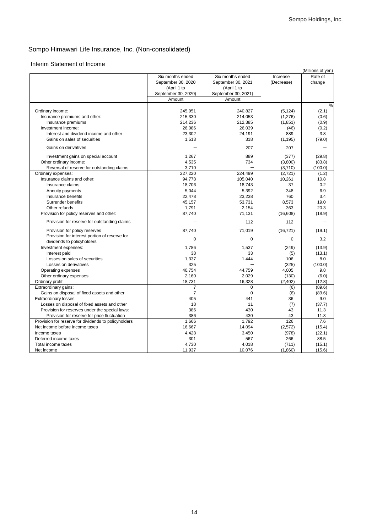#### Interim Statement of Income

|                                                                             | Six months ended    | Six months ended    | Increase   | (Millions of yen)<br>Rate of |
|-----------------------------------------------------------------------------|---------------------|---------------------|------------|------------------------------|
|                                                                             | September 30, 2020  | September 30, 2021  | (Decrease) | change                       |
|                                                                             | (April 1 to         | (April 1 to         |            |                              |
|                                                                             | September 30, 2020) | September 30, 2021) |            |                              |
|                                                                             | Amount              | Amount              |            |                              |
|                                                                             |                     |                     |            | $\%$                         |
| Ordinary income:                                                            | 245,951             | 240,827             | (5, 124)   | (2.1)                        |
| Insurance premiums and other:                                               | 215,330             | 214,053             | (1, 276)   | (0.6)                        |
| Insurance premiums                                                          | 214,236             | 212,385             | (1, 851)   | (0.9)                        |
| Investment income:                                                          | 26,086              | 26,039              | (46)       | (0.2)                        |
| Interest and dividend income and other                                      | 23,302              | 24,191              | 889        | 3.8                          |
| Gains on sales of securities                                                | 1,513               | 318                 | (1, 195)   | (79.0)                       |
| Gains on derivatives                                                        |                     | 207                 | 207        |                              |
| Investment gains on special account                                         | 1,267               | 889                 | (377)      | (29.8)                       |
| Other ordinary income:                                                      | 4,535               | 734                 | (3,800)    | (83.8)                       |
| Reversal of reserve for outstanding claims                                  | 3,710               |                     | (3,710)    | (100.0)                      |
| Ordinary expenses:                                                          | 227,220             | 224,499             | (2, 721)   | (1.2)                        |
| Insurance claims and other:                                                 | 94,778              | 105,040             | 10,261     | 10.8                         |
| Insurance claims                                                            | 18,706              | 18,743              | 37         | 0.2                          |
| Annuity payments                                                            | 5,044               | 5,392               | 348        | 6.9                          |
| Insurance benefits                                                          | 22,478              | 23,238              | 760        | 3.4                          |
| Surrender benefits                                                          | 45,157              | 53,731              | 8,573      | 19.0                         |
| Other refunds                                                               | 1,791               | 2,154               | 363        | 20.3                         |
| Provision for policy reserves and other:                                    | 87,740              | 71,131              | (16, 608)  | (18.9)                       |
| Provision for reserve for outstanding claims                                |                     | 112                 | 112        |                              |
| Provision for policy reserves                                               | 87,740              | 71,019              | (16, 721)  | (19.1)                       |
| Provision for interest portion of reserve for<br>dividends to policyholders | $\Omega$            | $\Omega$            | 0          | 3.2                          |
| Investment expenses:                                                        | 1,786               | 1,537               | (249)      | (13.9)                       |
| Interest paid                                                               | 38                  | 33                  | (5)        | (13.1)                       |
| Losses on sales of securities                                               | 1,337               | 1,444               | 106        | 8.0                          |
| Losses on derivatives                                                       | 325                 |                     | (325)      | (100.0)                      |
| Operating expenses                                                          | 40,754              | 44,759              | 4,005      | 9.8                          |
| Other ordinary expenses                                                     | 2,160               | 2,029               | (130)      | (6.0)                        |
| Ordinary profit                                                             | 18,731              | 16,328              | (2, 402)   | (12.8)                       |
| Extraordinary gains:                                                        | $\overline{7}$      | $\mathbf 0$         | (6)        | (89.6)                       |
| Gains on disposal of fixed assets and other                                 | $\overline{7}$      | $\mathbf 0$         | (6)        | (89.6)                       |
| Extraordinary losses:                                                       | 405                 | 441                 | 36         | 9.0                          |
| Losses on disposal of fixed assets and other                                | 18                  | 11                  | (7)        | (37.7)                       |
| Provision for reserves under the special laws:                              | 386                 | 430                 | 43         | 11.3                         |
| Provision for reserve for price fluctuation                                 | 386                 | 430                 | 43         | 11.3                         |
| Provision for reserve for dividends to policyholders                        | 1,666               | 1,792               | 126        | 7.6                          |
| Net income before income taxes                                              | 16,667              | 14,094              | (2,572)    | (15.4)                       |
| Income taxes                                                                | 4,428               | 3,450               | (978)      | (22.1)                       |
| Deferred income taxes                                                       | 301                 | 567                 | 266        | 88.5                         |
| Total income taxes                                                          | 4,730               | 4,018               | (711)      | (15.1)                       |
| Net income                                                                  | 11,937              | 10,076              | (1,860)    | (15.6)                       |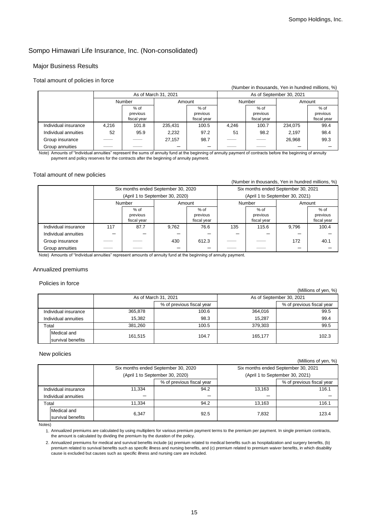### Major Business Results

#### Total amount of policies in force

|                      |       |                                   |                      |                                   |       |                                 | (Number in thousands, Yen in hundred millions, %) |                                   |
|----------------------|-------|-----------------------------------|----------------------|-----------------------------------|-------|---------------------------------|---------------------------------------------------|-----------------------------------|
|                      |       |                                   | As of March 31, 2021 |                                   |       |                                 | As of September 30, 2021                          |                                   |
|                      |       | Number                            |                      | Amount                            |       | Number                          |                                                   | Amount                            |
|                      |       | $%$ of<br>previous<br>fiscal year |                      | $%$ of<br>previous<br>fiscal year |       | % of<br>previous<br>fiscal year |                                                   | $%$ of<br>previous<br>fiscal year |
| Individual insurance | 4,216 | 101.8                             | 235,431              | 100.5                             | 4.246 | 100.7                           | 234,075                                           | 99.4                              |
| Individual annuities | 52    | 95.9                              | 2.232                | 97.2                              | 51    | 98.2                            | 2.197                                             | 98.4                              |
| Group insurance      |       |                                   | 27.157               | 98.7                              |       |                                 | 26.968                                            | 99.3                              |
| Group annuities      |       |                                   |                      |                                   |       |                                 |                                                   |                                   |

Note) Amounts of "Individual annuities" represent the sums of annuity fund at the beginning of annuity payment of contracts before the beginning of annuity payment and policy reserves for the contracts after the beginning of annuity payment.

### Total amount of new policies

#### (Number in thousands, Yen in hundred millions, %) Six months ended September 30, 2020 Six months ended September 30, 2021 (April 1 to September 30, 2020) (April 1 to September 30, 2021) Number **Amount** Amount **Number** Amount  $%$  of previous fiscal year % of previous fiscal year % of previous fiscal year % of previous fiscal year Individual insurance | 117 | 87.7 | 9,762 | 76.6 | 135 | 115.6 | 9,796 | 100.4 Individual annuities Group insurance  $\begin{array}{|c|c|c|c|c|c|c|c|} \hline \end{array}$   $\begin{array}{|c|c|c|c|c|c|} \hline \end{array}$  40.1  $\begin{array}{|c|c|c|c|c|c|} \hline \end{array}$  40.1  $\begin{array}{|c|c|c|c|c|} \hline \end{array}$  40.1  $\begin{array}{|c|c|c|c|c|} \hline \end{array}$  40.1  $\begin{array}{|c|c|c|c|c|} \hline \end{array}$  40.1  $\begin$ Group annuities

Note) Amounts of "Individual annuities" represent amounts of annuity fund at the beginning of annuity payment.

#### Annualized premiums

Policies in force

|                      | As of March 31, 2021 |                           | As of September 30, 2021 |                           |
|----------------------|----------------------|---------------------------|--------------------------|---------------------------|
|                      |                      | % of previous fiscal year |                          | % of previous fiscal year |
| Individual insurance | 365,878              | 100.6                     | 364.016                  | 99.5                      |
| Individual annuities | 15.382               | 98.3                      | 15.287                   | 99.4                      |
| Total                | 381.260              | 100.5                     | 379,303                  | 99.5                      |
| Medical and          | 161.515              | 104.7                     | 165.177                  | 102.3                     |
| survival benefits    |                      |                           |                          |                           |

#### New policies

(Millions of yen, %)

(Millions of yen, %)

|       |                      | Six months ended September 30, 2020 |                           |        | Six months ended September 30, 2021 |  |
|-------|----------------------|-------------------------------------|---------------------------|--------|-------------------------------------|--|
|       |                      | (April 1 to September 30, 2020)     |                           |        | (April 1 to September 30, 2021)     |  |
|       |                      |                                     | % of previous fiscal year |        | % of previous fiscal year           |  |
|       | Individual insurance | 11.334                              | 94.2                      | 13.163 | 116.1                               |  |
|       | Individual annuities | –                                   | -                         |        |                                     |  |
| Total |                      | 11.334                              | 94.2                      | 13.163 | 116.1                               |  |
|       | Medical and          | 6.347                               | 92.5                      | 7.832  | 123.4                               |  |
|       | survival benefits    |                                     |                           |        |                                     |  |

Notes)

1. Annualized premiums are calculated by using multipliers for various premium payment terms to the premium per payment. In single premium contracts, the amount is calculated by dividing the premium by the duration of the policy.

2. Annualized premiums for medical and survival benefits include (a) premium related to medical benefits such as hospitalization and surgery benefits, (b) premium related to survival benefits such as specific illness and nursing benefits, and (c) premium related to premium waiver benefits, in which disability cause is excluded but causes such as specific illness and nursing care are included.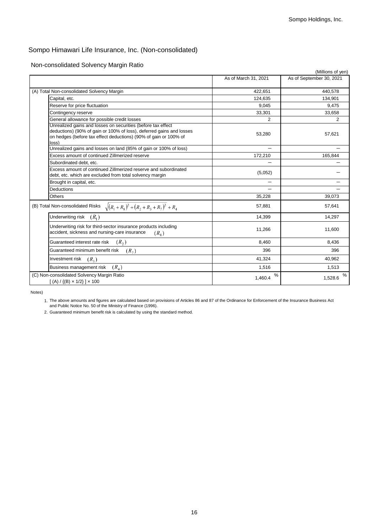Non-consolidated Solvency Margin Ratio

|                                                                                                                                                   |                      | (Millions of yen)        |
|---------------------------------------------------------------------------------------------------------------------------------------------------|----------------------|--------------------------|
|                                                                                                                                                   | As of March 31, 2021 | As of September 30, 2021 |
| (A) Total Non-consolidated Solvency Margin                                                                                                        | 422,651              | 440,578                  |
| Capital, etc.                                                                                                                                     | 124,635              | 134,901                  |
| Reserve for price fluctuation                                                                                                                     | 9.045                | 9,475                    |
| Contingency reserve                                                                                                                               | 33,301               | 33,658                   |
|                                                                                                                                                   |                      |                          |
| General allowance for possible credit losses<br>Unrealized gains and losses on securities (before tax effect                                      | 2                    | 2                        |
| deductions) (90% of gain or 100% of loss), deferred gains and losses<br>on hedges (before tax effect deductions) (90% of gain or 100% of<br>loss) | 53,280               | 57,621                   |
| Unrealized gains and losses on land (85% of gain or 100% of loss)                                                                                 |                      |                          |
| Excess amount of continued Zillmerized reserve                                                                                                    | 172,210              | 165,844                  |
| Subordinated debt. etc.                                                                                                                           |                      |                          |
| Excess amount of continued Zillmerized reserve and subordinated<br>debt, etc. which are excluded from total solvency margin                       | (5,052)              |                          |
| Brought in capital, etc.                                                                                                                          |                      |                          |
| Deductions                                                                                                                                        |                      |                          |
| <b>Others</b>                                                                                                                                     | 35,228               | 39,073                   |
| (B) Total Non-consolidated Risks $\sqrt{(R_1+R_8)^2+(R_2+R_3+R_7)^2+R_4}$                                                                         | 57,881               | 57,641                   |
| Underwriting risk $(R_1)$                                                                                                                         | 14,399               | 14,297                   |
| Underwriting risk for third-sector insurance products including<br>accident, sickness and nursing-care insurance<br>$(R_{\rm s})$                 | 11,266               | 11,600                   |
| $(R_2)$<br>Guaranteed interest rate risk                                                                                                          | 8,460                | 8,436                    |
| Guaranteed minimum benefit risk<br>$(R_7)$                                                                                                        | 396                  | 396                      |
| Investment risk<br>$(R_{3})$                                                                                                                      | 41,324               | 40,962                   |
| $(R_4)$<br>Business management risk                                                                                                               | 1,516                | 1,513                    |
| (C) Non-consolidated Solvency Margin Ratio<br>$[(A) / {(B) \times 1/2}] \times 100$                                                               | ℅<br>1,460.4         | %<br>1,528.6             |

Notes)

1. The above amounts and figures are calculated based on provisions of Articles 86 and 87 of the Ordinance for Enforcement of the Insurance Business Act and Public Notice No. 50 of the Ministry of Finance (1996).

2. Guaranteed minimum benefit risk is calculated by using the standard method.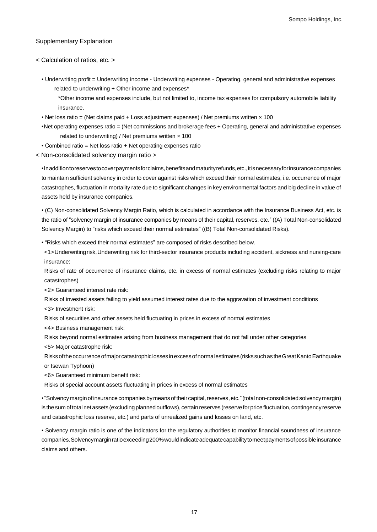### Supplementary Explanation

< Calculation of ratios, etc. >

• Underwriting profit = Underwriting income - Underwriting expenses - Operating, general and administrative expenses related to underwriting + Other income and expenses\*

\*Other income and expenses include, but not limited to, income tax expenses for compulsory automobile liability insurance.

- Net loss ratio = (Net claims paid + Loss adjustment expenses) / Net premiums written  $\times$  100
- Net operating expenses ratio = (Net commissions and brokerage fees + Operating, general and administrative expenses related to underwriting) / Net premiums written  $\times$  100
- Combined ratio = Net loss ratio + Net operating expenses ratio

< Non-consolidated solvency margin ratio >

• In addition to reserves to cover payments for claims, benefits and maturity refunds, etc., it is necessary for insurance companies to maintain sufficient solvency in order to cover against risks which exceed their normal estimates, i.e. occurrence of major catastrophes, fluctuation in mortality rate due to significant changes in key environmental factors and big decline in value of assets held by insurance companies.

• (C) Non-consolidated Solvency Margin Ratio, which is calculated in accordance with the Insurance Business Act, etc. is the ratio of "solvency margin of insurance companies by means of their capital, reserves, etc." ((A) Total Non-consolidated Solvency Margin) to "risks which exceed their normal estimates" ((B) Total Non-consolidated Risks).

• "Risks which exceed their normal estimates" are composed of risks described below.

<1> Underwritingrisk, Underwriting risk for third-sector insurance products including accident, sickness and nursing-care insurance:

Risks of rate of occurrence of insurance claims, etc. in excess of normal estimates (excluding risks relating to major catastrophes)

<2> Guaranteed interest rate risk:

- Risks of invested assets failing to yield assumed interest rates due to the aggravation of investment conditions
- <3> Investment risk:
- Risks of securities and other assets held fluctuating in prices in excess of normal estimates

<4> Business management risk:

Risks beyond normal estimates arising from business management that do not fall under other categories <5> Major catastrophe risk:

Risks of the occurrence of major catastrophic losses in excess of normalestimates (risks such as the Great Kanto Earthquake or Isewan Typhoon)

<6> Guaranteed minimum benefit risk:

Risks of special account assets fluctuating in prices in excess of normal estimates

•"Solvency margin of insurance companies by means of their capital, reserves, etc."(totalnon-consolidatedsolvency margin) is the sum of total net assets (excluding planned outflows), certain reserves (reserve for price fluctuation, contingency reserve and catastrophic loss reserve, etc.) and parts of unrealized gains and losses on land, etc.

• Solvency margin ratio is one of the indicators for the regulatory authorities to monitor financial soundness of insurance companies. Solvency margin ratio exceeding 200% would indicate adequate capability to meet payments of possible insurance claims and others.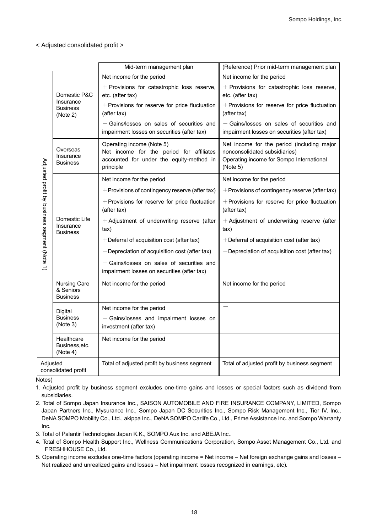### < Adjusted consolidated profit >

|                                              |                                                     | Mid-term management plan                                                                                                       | (Reference) Prior mid-term management plan                                                                                          |
|----------------------------------------------|-----------------------------------------------------|--------------------------------------------------------------------------------------------------------------------------------|-------------------------------------------------------------------------------------------------------------------------------------|
|                                              |                                                     | Net income for the period                                                                                                      | Net income for the period                                                                                                           |
|                                              | Domestic P&C                                        | + Provisions for catastrophic loss reserve,<br>etc. (after tax)                                                                | + Provisions for catastrophic loss reserve,<br>etc. (after tax)                                                                     |
|                                              | Insurance<br><b>Business</b><br>(Note 2)            | + Provisions for reserve for price fluctuation<br>(after tax)                                                                  | + Provisions for reserve for price fluctuation<br>(after tax)                                                                       |
|                                              |                                                     | - Gains/losses on sales of securities and<br>impairment losses on securities (after tax)                                       | - Gains/losses on sales of securities and<br>impairment losses on securities (after tax)                                            |
|                                              | Overseas<br>Insurance<br><b>Business</b>            | Operating income (Note 5)<br>Net income for the period for affiliates<br>accounted for under the equity-method in<br>principle | Net income for the period (including major<br>nonconsolidated subsidiaries)<br>Operating income for Sompo International<br>(Note 5) |
|                                              |                                                     | Net income for the period                                                                                                      | Net income for the period                                                                                                           |
| Adjusted profit by business segment (Note 1) | Domestic Life<br>Insurance<br><b>Business</b>       | + Provisions of contingency reserve (after tax)                                                                                | + Provisions of contingency reserve (after tax)                                                                                     |
|                                              |                                                     | + Provisions for reserve for price fluctuation<br>(after tax)                                                                  | + Provisions for reserve for price fluctuation<br>(after tax)                                                                       |
|                                              |                                                     | + Adjustment of underwriting reserve (after<br>tax)                                                                            | + Adjustment of underwriting reserve (after<br>tax)                                                                                 |
|                                              |                                                     | +Deferral of acquisition cost (after tax)                                                                                      | +Deferral of acquisition cost (after tax)                                                                                           |
|                                              |                                                     | - Depreciation of acquisition cost (after tax)                                                                                 | - Depreciation of acquisition cost (after tax)                                                                                      |
|                                              |                                                     | - Gains/losses on sales of securities and<br>impairment losses on securities (after tax)                                       |                                                                                                                                     |
|                                              | <b>Nursing Care</b><br>& Seniors<br><b>Business</b> | Net income for the period                                                                                                      | Net income for the period                                                                                                           |
|                                              | Digital                                             | Net income for the period                                                                                                      |                                                                                                                                     |
|                                              | <b>Business</b><br>(Note 3)                         | - Gains/losses and impairment losses on<br>investment (after tax)                                                              |                                                                                                                                     |
|                                              | Healthcare<br>Business, etc.<br>(Note 4)            | Net income for the period                                                                                                      |                                                                                                                                     |
| Adjusted                                     | consolidated profit                                 | Total of adjusted profit by business segment                                                                                   | Total of adjusted profit by business segment                                                                                        |

Notes)

1. Adjusted profit by business segment excludes one-time gains and losses or special factors such as dividend from subsidiaries.

2. Total of Sompo Japan Insurance Inc., SAISON AUTOMOBILE AND FIRE INSURANCE COMPANY, LIMITED, Sompo Japan Partners Inc., Mysurance Inc., Sompo Japan DC Securities Inc., Sompo Risk Management Inc., Tier IV, Inc., DeNA SOMPO Mobility Co., Ltd., akippa Inc., DeNA SOMPO Carlife Co., Ltd., Prime Assistance Inc. and Sompo Warranty Inc.

3. Total of Palantir Technologies Japan K.K., SOMPO Aux Inc. and ABEJA Inc..

4. Total of Sompo Health Support Inc., Wellness Communications Corporation, Sompo Asset Management Co., Ltd. and FRESHHOUSE Co., Ltd.

5. Operating income excludes one-time factors (operating income = Net income – Net foreign exchange gains and losses – Net realized and unrealized gains and losses – Net impairment losses recognized in earnings, etc).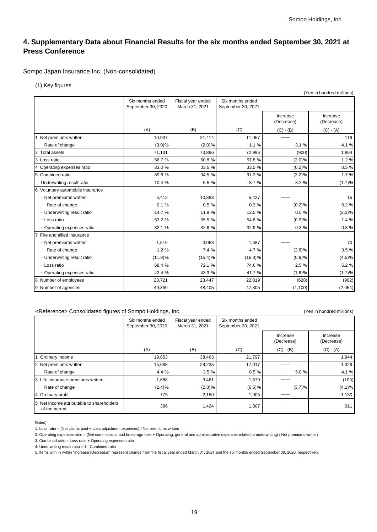# **4. Supplementary Data about Financial Results for the six months ended September 30, 2021 at Press Conference**

Sompo Japan Insurance Inc. (Non-consolidated)

(1) Key figures

|                                       |                                        |                                     |                                        |                        | (Yen in hundred millions) |
|---------------------------------------|----------------------------------------|-------------------------------------|----------------------------------------|------------------------|---------------------------|
|                                       | Six months ended<br>September 30, 2020 | Fiscal year ended<br>March 31, 2021 | Six months ended<br>September 30, 2021 |                        |                           |
|                                       |                                        |                                     |                                        | Increase<br>(Decrease) | Increase<br>(Decrease)    |
|                                       | (A)                                    | (B)                                 | (C)                                    | $(C) - (B)$            | $(C) - (A)$               |
| 1 Net premiums written                | 10,937                                 | 21,414                              | 11,057                                 |                        | 119                       |
| Rate of change                        | (3.0)%                                 | (2.0)%                              | 1.1 %                                  | 3.1%                   | 4.1 %                     |
| $\overline{2}$<br><b>Total assets</b> | 71,131                                 | 73,896                              | 72,996                                 | (900)                  | 1,864                     |
| 3 Loss ratio                          | 56.7%                                  | 60.8%                               | 57.8%                                  | (3.0)%                 | 1.2%                      |
| 4 Operating expenses ratio            | 33.0%                                  | 33.6%                               | 33.5 %                                 | (0.2)%                 | 0.5%                      |
| 5 Combined ratio                      | 89.6%                                  | 94.5 %                              | 91.3%                                  | (3.2)%                 | 1.7%                      |
| Underwriting result ratio             | 10.4 %                                 | 5.5 %                               | 8.7%                                   | 3.2%                   | (1.7)%                    |
| 6 Voluntary automobile insurance      |                                        |                                     |                                        |                        |                           |
| · Net premiums written                | 5,412                                  | 10.898                              | 5,427                                  |                        | 15                        |
| Rate of change                        | 0.1%                                   | 0.5%                                | 0.3%                                   | (0.2)%                 | 0.2%                      |
| • Underwriting result ratio           | 14.7 %                                 | 11.9 %                              | 12.5 %                                 | 0.5%                   | (2.2)%                    |
| · Loss ratio                          | 53.2 %                                 | 55.5 %                              | 54.6%                                  | (0.9)%                 | 1.4 %                     |
| • Operating expenses ratio            | 32.1 %                                 | 32.6%                               | 32.9 %                                 | 0.3%                   | 0.8%                      |
| 7 Fire and allied insurance           |                                        |                                     |                                        |                        |                           |
| • Net premiums written                | 1,516                                  | 3,063                               | 1,587                                  |                        | 70                        |
| Rate of change                        | 1.2%                                   | 7.4 %                               | 4.7%                                   | (2.8)%                 | 3.5%                      |
| • Underwriting result ratio           | (11.8)%                                | (15.4)%                             | (16.3)%                                | (0.9)%                 | (4.5)%                    |
| · Loss ratio                          | 68.4%                                  | 72.1 %                              | 74.6%                                  | 2.5 %                  | 6.2%                      |
| · Operating expenses ratio            | 43.4 %                                 | 43.3%                               | 41.7%                                  | (1.6)%                 | (1.7)%                    |
| 8<br>Number of employees              | 23,721                                 | 23,447                              | 22,819                                 | (628)                  | (902)                     |
| 9 Number of agencies                  | 49,359                                 | 48.405                              | 47,305                                 | (1, 100)               | (2,054)                   |

#### <Reference> Consolidated figures of Sompo Holdings, Inc. (Yen in hundred millions)

Six months ended September 30, 2020 Fiscal year ended March 31, 2021 Six months ended September 30, 2021 Increase (Decrease) Increase (Decrease) (A)  $(B)$  (B)  $(C)$  (C)  $(B)$  (C) - (A) 1 Ordinary income | 19,853 | 38,463 | 21,797 | —— 1,944 2 Net premiums written 15,688 15,688 29,235 17,017 <sup>--</sup> 1,329 Rate of change the set of the set of change the set of change the set of change the set of the set of the set of the set of the set of the set of the set of the set of the set of the set of the set of the set of the set of 3 Life insurance premiums written 1,688 3,461 1,579 ── (109) Rate of change  $(2.4)$ %  $(2.8)$ %  $(6.5)$ %  $(3.7)$ %  $(3.7)$ % (4.1)% 4 Ordinary profit 1,130 1,130 1,130 1,130 1,130 1,130 1,130 1,130 1,130 1,130 1,130 1,130 1,130 1,130 1,130 1,130 5 Net income attributable to shareholders of the parent  $\frac{1}{2}$  and  $\frac{1}{2}$  396 1,424 1,307  $\frac{1}{2}$  1,307  $\frac{1}{2}$  911

Notes)

2. Operating expenses ratio = (Net commissions and brokerage fees + Operating, general and administrative expenses related to underwriting) / Net premiums written

4. Underwriting result ratio = 1 - Combined ratio

5. Items with % within "Increase (Decrease)" represent change from the fiscal year ended March 31, 2021 and the six months ended September 30, 2020, respectively.

<sup>1.</sup> Loss ratio = (Net claims paid + Loss adjustment expenses) / Net premiums written

<sup>3.</sup> Combined ratio = Loss ratio + Operating expenses ratio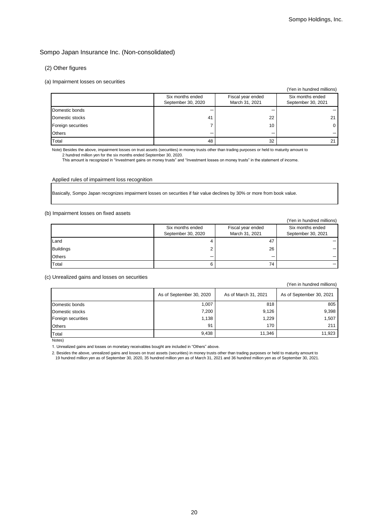#### (2) Other figures

#### (a) Impairment losses on securities

|                    |                                        |                                     | (Yen in hundred millions)              |
|--------------------|----------------------------------------|-------------------------------------|----------------------------------------|
|                    | Six months ended<br>September 30, 2020 | Fiscal year ended<br>March 31, 2021 | Six months ended<br>September 30, 2021 |
| Domestic bonds     |                                        |                                     |                                        |
| Domestic stocks    | 41                                     | 22                                  | 21                                     |
| Foreign securities |                                        | 10                                  |                                        |
| <b>Others</b>      |                                        |                                     |                                        |
| Total              | 48                                     | 32                                  | 21                                     |

Note) Besides the above, impairment losses on trust assets (securities) in money trusts other than trading purposes or held to maturity amount to 2 hundred million yen for the six months ended September 30, 2020.

This amount is recognized in "Investment gains on money trusts" and "Investment losses on money trusts" in the statement of income.

Applied rules of impairment loss recognition

Basically, Sompo Japan recognizes impairment losses on securities if fair value declines by 30% or more from book value.

#### (b) Impairment losses on fixed assets

|                  |                                        |                                     | (Yen in hundred millions)              |
|------------------|----------------------------------------|-------------------------------------|----------------------------------------|
|                  | Six months ended<br>September 30, 2020 | Fiscal year ended<br>March 31, 2021 | Six months ended<br>September 30, 2021 |
| Land             |                                        | 47                                  |                                        |
| <b>Buildings</b> |                                        | 26                                  |                                        |
| <b>Others</b>    |                                        |                                     |                                        |
| Total            |                                        | 74                                  |                                        |

(c) Unrealized gains and losses on securities

|                    |                          |                      | (Yen in hundred millions) |
|--------------------|--------------------------|----------------------|---------------------------|
|                    | As of September 30, 2020 | As of March 31, 2021 | As of September 30, 2021  |
| Domestic bonds     | 1,007                    | 818                  | 805                       |
| Domestic stocks    | 7,200                    | 9,126                | 9,398                     |
| Foreign securities | 1,138                    | 1,229                | 1,507                     |
| <b>Others</b>      | 91                       | 170                  | 211                       |
| Total              | 9,438                    | 11,346               | 11,923                    |

Notes)

1. Unrealized gains and losses on monetary receivables bought are included in "Others" above.

2. Besides the above, unrealized gains and losses on trust assets (securities) in money trusts other than trading purposes or held to maturity amount to 19 hundred million yen as of September 30, 2020, 35 hundred million yen as of March 31, 2021 and 36 hundred million yen as of September 30, 2021.